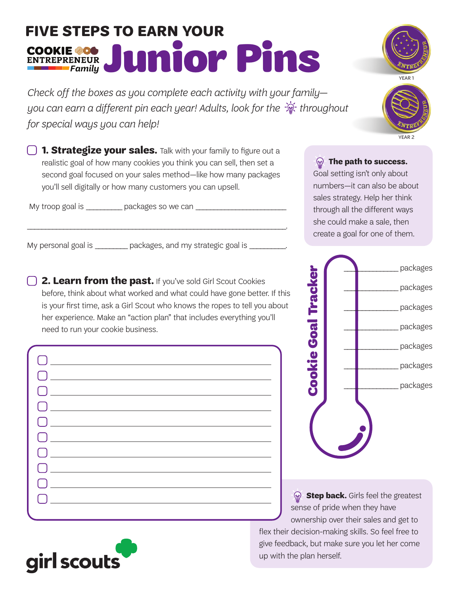## **FIVE STEPS TO EARN YOUR**  COOKIE 200 Junior Pins

*Check off the boxes as you complete each activity with your family you can earn a different pin each year! Adults, look for the*  $\frac{1}{2}$  *throughout for special ways you can help!*



YEAR 2

**1. Strategize your sales.** Talk with your family to figure out a realistic goal of how many cookies you think you can sell, then set a second goal focused on your sales method—like how many packages you'll sell digitally or how many customers you can upsell.

\_\_\_\_\_\_\_\_\_\_\_\_\_\_\_\_\_\_\_\_\_\_\_\_\_\_\_\_\_\_\_\_\_\_\_\_\_\_\_\_\_\_\_\_\_\_\_\_\_\_\_\_\_\_\_\_\_\_\_\_\_\_\_\_\_\_\_\_\_\_\_\_.

My troop goal is \_\_\_\_\_\_\_\_\_\_\_\_ packages so we can \_\_\_\_\_

My personal goal is \_\_\_\_\_\_\_\_\_ packages, and my strategic goal is \_\_\_\_\_\_\_\_\_.

**2. Learn from the past.** If you've sold Girl Scout Cookies before, think about what worked and what could have gone better. If this is your first time, ask a Girl Scout who knows the ropes to tell you about her experience. Make an "action plan" that includes everything you'll need to run your cookie business.

| <u> 1980 - Johann Barn, mars ann an t-Amhain an t-Amhain an t-Amhain an t-Amhain an t-Amhain an t-Amhain an t-A</u> |                                                 |  |  |
|---------------------------------------------------------------------------------------------------------------------|-------------------------------------------------|--|--|
|                                                                                                                     |                                                 |  |  |
|                                                                                                                     |                                                 |  |  |
|                                                                                                                     |                                                 |  |  |
|                                                                                                                     |                                                 |  |  |
| <u>and the contract of the contract of the contract of</u>                                                          |                                                 |  |  |
|                                                                                                                     |                                                 |  |  |
|                                                                                                                     |                                                 |  |  |
|                                                                                                                     | <u> 1980 - Johann Barnett, fransk politik (</u> |  |  |
|                                                                                                                     |                                                 |  |  |
|                                                                                                                     |                                                 |  |  |
|                                                                                                                     |                                                 |  |  |



**The path to success.** Goal setting isn't only about numbers—it can also be about sales strategy. Help her think through all the different ways she could make a sale, then create a goal for one of them.

*Step back.* Girls feel the greatest sense of pride when they have ownership over their sales and get to

flex their decision-making skills. So feel free to give feedback, but make sure you let her come